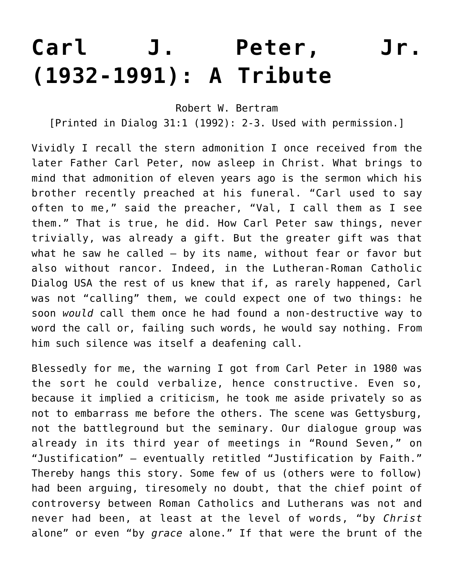## **[Carl J. Peter, Jr.](https://crossings.org/carl-j-peter-jr-tribute/) [\(1932-1991\): A Tribute](https://crossings.org/carl-j-peter-jr-tribute/)**

Robert W. Bertram

[Printed in Dialog 31:1 (1992): 2-3. Used with permission.]

Vividly I recall the stern admonition I once received from the later Father Carl Peter, now asleep in Christ. What brings to mind that admonition of eleven years ago is the sermon which his brother recently preached at his funeral. "Carl used to say often to me," said the preacher, "Val, I call them as I see them." That is true, he did. How Carl Peter saw things, never trivially, was already a gift. But the greater gift was that what he saw he called – by its name, without fear or favor but also without rancor. Indeed, in the Lutheran-Roman Catholic Dialog USA the rest of us knew that if, as rarely happened, Carl was not "calling" them, we could expect one of two things: he soon *would* call them once he had found a non-destructive way to word the call or, failing such words, he would say nothing. From him such silence was itself a deafening call.

Blessedly for me, the warning I got from Carl Peter in 1980 was the sort he could verbalize, hence constructive. Even so, because it implied a criticism, he took me aside privately so as not to embarrass me before the others. The scene was Gettysburg, not the battleground but the seminary. Our dialogue group was already in its third year of meetings in "Round Seven," on "Justification" – eventually retitled "Justification by Faith." Thereby hangs this story. Some few of us (others were to follow) had been arguing, tiresomely no doubt, that the chief point of controversy between Roman Catholics and Lutherans was not and never had been, at least at the level of words, "by *Christ* alone" or even "by *grace* alone." If that were the brunt of the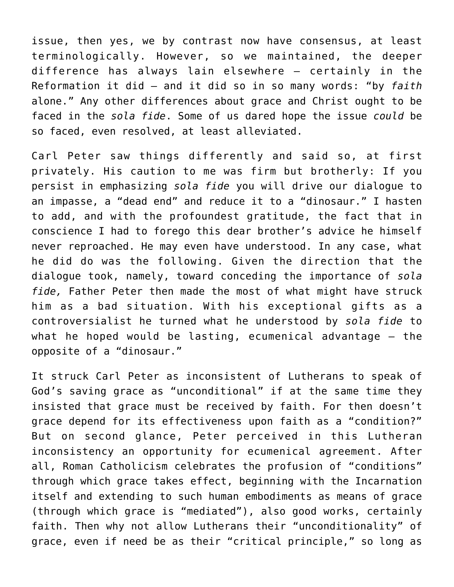issue, then yes, we by contrast now have consensus, at least terminologically. However, so we maintained, the deeper difference has always lain elsewhere – certainly in the Reformation it did – and it did so in so many words: "by *faith* alone." Any other differences about grace and Christ ought to be faced in the *sola fide*. Some of us dared hope the issue *could* be so faced, even resolved, at least alleviated.

Carl Peter saw things differently and said so, at first privately. His caution to me was firm but brotherly: If you persist in emphasizing *sola fide* you will drive our dialogue to an impasse, a "dead end" and reduce it to a "dinosaur." I hasten to add, and with the profoundest gratitude, the fact that in conscience I had to forego this dear brother's advice he himself never reproached. He may even have understood. In any case, what he did do was the following. Given the direction that the dialogue took, namely, toward conceding the importance of *sola fide,* Father Peter then made the most of what might have struck him as a bad situation. With his exceptional gifts as a controversialist he turned what he understood by *sola fide* to what he hoped would be lasting, ecumenical advantage – the opposite of a "dinosaur."

It struck Carl Peter as inconsistent of Lutherans to speak of God's saving grace as "unconditional" if at the same time they insisted that grace must be received by faith. For then doesn't grace depend for its effectiveness upon faith as a "condition?" But on second glance, Peter perceived in this Lutheran inconsistency an opportunity for ecumenical agreement. After all, Roman Catholicism celebrates the profusion of "conditions" through which grace takes effect, beginning with the Incarnation itself and extending to such human embodiments as means of grace (through which grace is "mediated"), also good works, certainly faith. Then why not allow Lutherans their "unconditionality" of grace, even if need be as their "critical principle," so long as